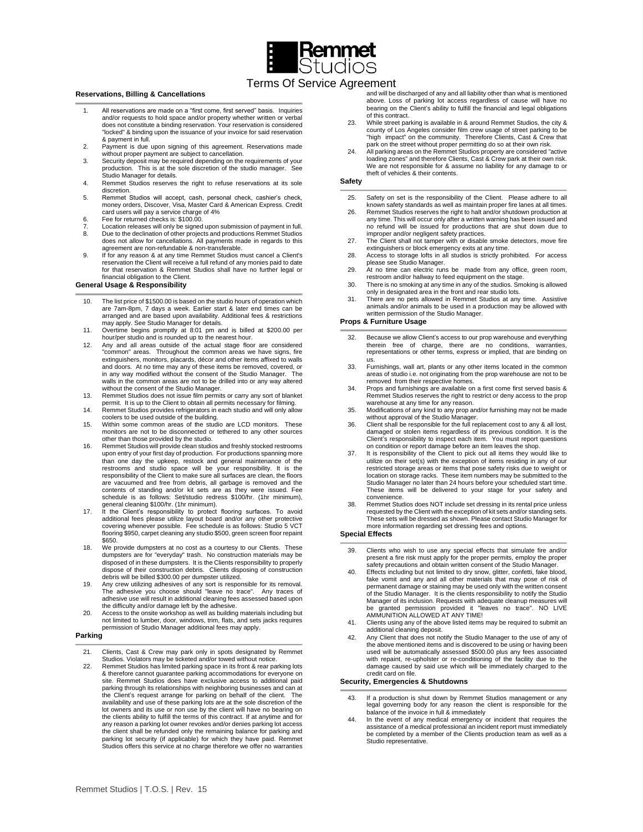

# Terms Of Service Agreement

#### **Reservations, Billing & Cancellations**

- All reservations are made on a "first come, first served" basis. Inquiries and/or requests to hold space and/or property whether written or verbal does not constitute a binding reservation. Your reservation is considered "locked" & binding upon the issuance of your invoice for said reservation & payment in full.
- 2. Payment is due upon signing of this agreement. Reservations made without proper payment are subject to cancellation.
- 3. Security deposit may be required depending on the requirements of your production. This is at the sole discretion of the studio manager. See Studio Manager for details.
- 4. Remmet Studios reserves the right to refuse reservations at its sole discretion.
- 5. Remmet Studios will accept, cash, personal check, cashier's check, money orders, Discover, Visa, Master Card & American Express. Credit card users will pay a service charge of 4%
- 6. Fee for returned checks is: \$100.00.
- 7. Location releases will only be signed upon submission of payment in full.
- 8. Due to the declination of other projects and productions Remmet Studios does not allow for cancellations. All payments made in regards to this
- agreement are non-refundable & non-transferable. 9. If for any reason & at any time Remmet Studios must cancel a Client's reservation the Client will receive a full refund of any monies paid to date for that reservation & Remmet Studios shall have no further legal or financial obligation to the Client.

## **General Usage & Responsibility**

- 10. The list price of \$1500.00 is based on the studio hours of operation which are 7am-8pm, 7 days a week. Earlier start & later end times can be arranged and are based upon availability. Additional fees & restrictions
- may apply. See Studio Manager for details. 11. Overtime begins promptly at 8:01 pm and is billed at \$200.00 per hour/per studio and is rounded up to the nearest hour.
- 12. Any and all areas outside of the actual stage floor are considered "common" areas. Throughout the common areas we have signs, fire extinguishers, monitors, placards, décor and other items affixed to walls and doors. At no time may any of these items be removed, covered, or in any way modified without the consent of the Studio Manager. The walls in the common areas are not to be drilled into or any way altered without the consent of the Studio Manager.
- 13. Remmet Studios does not issue film permits or carry any sort of blanket permit. It is up to the Client to obtain all permits necessary for filming.
- 14. Remmet Studios provides refrigerators in each studio and will only allow
- coolers to be used outside of the building. 15. Within some common areas of the studio are LCD monitors. These monitors are not to be disconnected or tethered to any other sources other than those provided by the studio.
- 16. Remmet Studios will provide clean studios and freshly stocked restrooms upon entry of your first day of production. For productions spanning more<br>than one day the upkeep, restock and general maintenance of the<br>restrooms and studio space will be your responsibility. It is the<br>responsibility of are vacuumed and free from debris, all garbage is removed and the contents of standing and/or kit sets are as they were issued. Fee schedule is as follows: Set/studio redress \$100/hr. (1hr minimum),
- general cleaning \$100/hr. (1hr minimum).<br>17. It the Client's responsibility to protect flooring surfaces. To avoid<br>additional fees please utilize layout board and/or any other protective<br>covering whenever possible. Fee sch \$650.
- 18. We provide dumpsters at no cost as a courtesy to our Clients. These dumpsters are for "everyday" trash. No construction materials may be disposed of in these dumpsters. It is the Clients responsibility to properly dispose of their construction debris. Clients disposing of construction debris will be billed \$300.00 per dumpster utilized.
- 19. Any crew utilizing adhesives of any sort is responsible for its removal. The adhesive you choose should "leave no trace". Any traces of adhesive use will result in additional cleaning fees assessed based upon
- the difficulty and/or damage left by the adhesive. 20. Access to the onsite workshop as well as building materials including but not limited to lumber, door, windows, trim, flats, and sets jacks requires permission of Studio Manager additional fees may apply.

## **Parking**

21. Clients, Cast & Crew may park only in spots designated by Remmet Studios. Violators may be ticketed and/or towed without notice.

22. Remmet Studios has limited parking space in its front & rear parking lots & therefore cannot guarantee parking accommodations for everyone on site. Remmet Studios does have exclusive access to additional paid parking through its relationships with neighboring businesses and can at the Client's request arrange for parking on behalf of the client. The availability and use of these parking lots are at the sole discretion of the lot owners and its use or non use by the client will have no bearing on the clients ability to fulfill the terms of this contract. If at anytime and for any reason a parking lot owner revokes and/or denies parking lot access the client shall be refunded only the remaining balance for parking and parking lot security (if applicable) for which they have paid. Remmet Studios offers this service at no charge therefore we offer no warranties

and will be discharged of any and all liability other than what is mentioned above. Loss of parking lot access regardless of cause will have no bearing on the Client's ability to fulfill the financial and legal obligations of this contract.

- 23. While street parking is available in & around Remmet Studios, the city & county of Los Angeles consider film crew usage of street parking to be<br>"high impact" on the community. Therefore Clients, Cast & Crew that<br>park on the street without proper permitting do so at their own risk.
- 24. All parking areas on the Remmet Studios property are considered "active loading zones" and therefore Clients, Cast & Crew park at their own risk. We are not responsible for & assume no liability for any damage to or theft of vehicles & their contents.

## **Safety**

- 25. Safety on set is the responsibility of the Client. Please adhere to all known safety standards as well as maintain proper fire lanes at all times.
- 26. Remmet Studios reserves the right to halt and/or shutdown production at any time. This will occur only after a written warning has been issued and no refund will be issued for productions that are shut down due to
- improper and/or negligent safety practices. 27. The Client shall not tamper with or disable smoke detectors, move fire
- extinguishers or block emergency exits at any time. 28. Access to storage lofts in all studios is strictly prohibited. For access please see Studio Manager.
- 29. At no time can electric runs be made from any office, green room, restroom and/or hallway to feed equipment on the stage.
- 30. There is no smoking at any time in any of the studios. Smoking is allowed only in designated area in the front and rear studio lots.
- 31. There are no pets allowed in Remmet Studios at any time. Assistive animals and/or animals to be used in a production may be allowed with written permission of the Studio Manager.

## **Props & Furniture Usage**

- 32. Because we allow Client's access to our prop warehouse and everything therein free of charge, there are no conditions, warranties, representations or other terms, express or implied, that are binding on us.
- 33. Furnishings, wall art, plants or any other items located in the common areas of studio i.e. not originating from the prop warehouse are not to be removed from their respective homes.
- 34. Props and furnishings are available on a first come first served basis & Remmet Studios reserves the right to restrict or deny access to the prop warehouse at any time for any reason.
- 35. Modifications of any kind to any prop and/or furnishing may not be made
- without approval of the Studio Manager. 36. Client shall be responsible for the full replacement cost to any & all lost, damaged or stolen items regardless of its previous condition. It is the Client's responsibility to inspect each item. You must report questions on condition or report damage before an item leaves the shop.
- 37. It is responsibility of the Client to pick out all items they would like to utilize on their set(s) with the exception of items residing in any of our restricted storage areas or items that pose safety risks due to weight or location on storage racks. These item numbers may be submitted to the Studio Manager no later than 24 hours before your scheduled start time. These items will be delivered to your stage for your safety and convenience.
- 38. Remmet Studios does NOT include set dressing in its rental price unless requested by the Client with the exception of kit sets and/or standing sets. These sets will be dressed as shown. Please contact Studio Manager for more information regarding set dressing fees and options.

#### **Special Effects**

- 39. Clients who wish to use any special effects that simulate fire and/or present a fire risk must apply for the proper permits, employ the proper safety precautions and obtain written consent of the Studio Manager.
- 40. Effects including but not limited to dry snow, glitter, confetti, fake blood, fake vomit and any and all other materials that may pose of risk of permanent damage or staining may be used only with the written consent of the Studio Manager. It is the clients responsibility to notify the Studio Manager of its inclusion. Requests with adequate cleanup measures will be granted permission provided it "leaves no trace". NO LIVE AMMUNITION ALLOWED AT ANY TIME!
- 41. Clients using any of the above listed items may be required to submit an additional cleaning deposit.
- 42. Any Client that does not notify the Studio Manager to the use of any of the above mentioned items and is discovered to be using or having been used will be automatically assessed \$500.00 plus any fees associated with repaint, re-upholster or re-conditioning of the facility due to the damage caused by said use which will be immediately charged to the credit card on file.

### **Security, Emergencies & Shutdowns**

- 43. If a production is shut down by Remmet Studios management or any legal governing body for any reason the client is responsible for the balance of the invoice in full & immediately
- 44. In the event of any medical emergency or incident that requires the assistance of a medical professional an incident report must immediately be completed by a member of the Clients production team as well as a Studio representative.